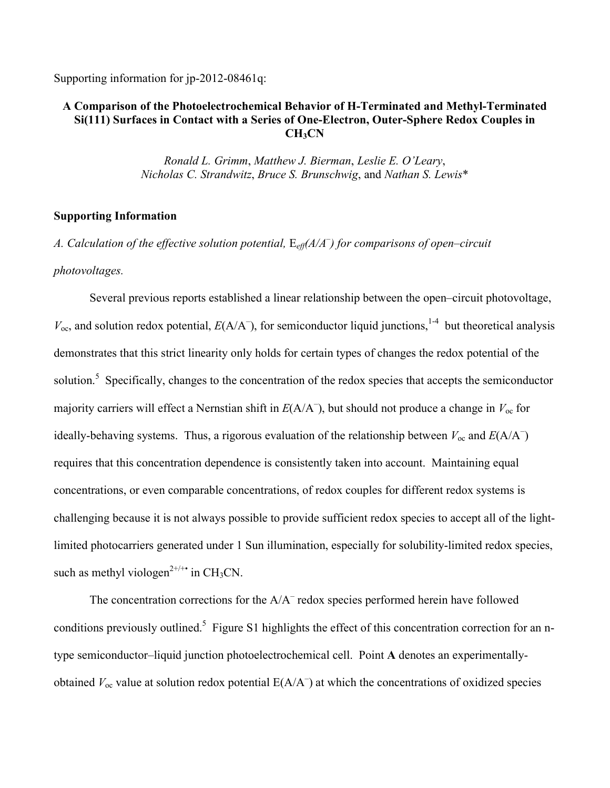Supporting information for jp-2012-08461q:

## **A Comparison of the Photoelectrochemical Behavior of H-Terminated and Methyl-Terminated Si(111) Surfaces in Contact with a Series of One-Electron, Outer-Sphere Redox Couples in CH3CN**

*Ronald L. Grimm*, *Matthew J. Bierman*, *Leslie E. O'Leary*, *Nicholas C. Strandwitz*, *Bruce S. Brunschwig*, and *Nathan S. Lewis*\*

## **Supporting Information**

*A. Calculation of the effective solution potential,* E*eff(A/A– ) for comparisons of open–circuit photovoltages.* 

Several previous reports established a linear relationship between the open–circuit photovoltage,  $V_{\text{oc}}$ , and solution redox potential,  $E(A/A^{-})$ , for semiconductor liquid junctions,<sup>1-4</sup> but theoretical analysis demonstrates that this strict linearity only holds for certain types of changes the redox potential of the solution.<sup>5</sup> Specifically, changes to the concentration of the redox species that accepts the semiconductor majority carriers will effect a Nernstian shift in *E*(A/A– ), but should not produce a change in *V*oc for ideally-behaving systems. Thus, a rigorous evaluation of the relationship between  $V_{\text{oc}}$  and  $E(A/A^{-})$ requires that this concentration dependence is consistently taken into account. Maintaining equal concentrations, or even comparable concentrations, of redox couples for different redox systems is challenging because it is not always possible to provide sufficient redox species to accept all of the lightlimited photocarriers generated under 1 Sun illumination, especially for solubility-limited redox species, such as methyl viologen<sup> $2^{+/+*}$ </sup> in CH<sub>3</sub>CN.

The concentration corrections for the A/A<sup>-</sup> redox species performed herein have followed conditions previously outlined.<sup>5</sup> Figure S1 highlights the effect of this concentration correction for an ntype semiconductor–liquid junction photoelectrochemical cell. Point **A** denotes an experimentallyobtained  $V_{\text{oc}}$  value at solution redox potential  $E(A/A^-)$  at which the concentrations of oxidized species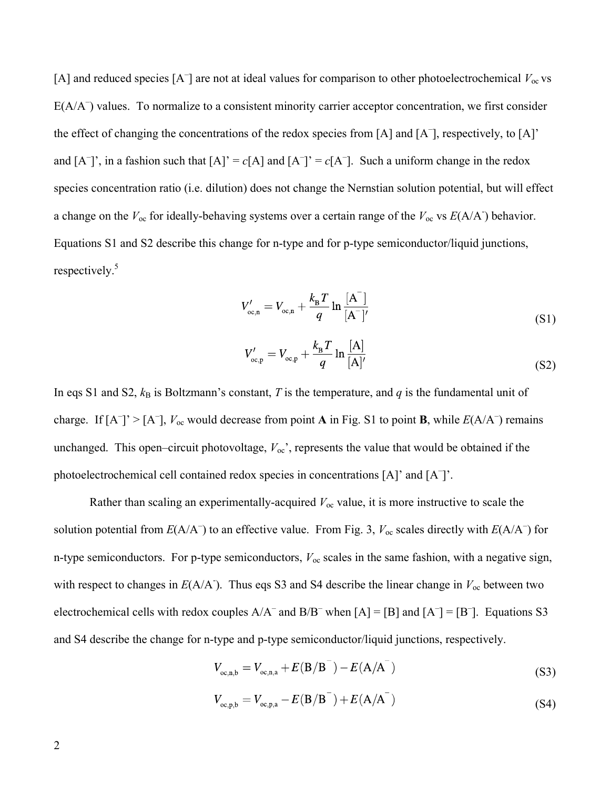[A] and reduced species  $[A^-]$  are not at ideal values for comparison to other photoelectrochemical  $V_{oc}$  vs E(A/A<sup>-</sup>) values. To normalize to a consistent minority carrier acceptor concentration, we first consider the effect of changing the concentrations of the redox species from [A] and [A– ], respectively, to [A]' and  $[A^-]$ <sup>'</sup>, in a fashion such that  $[A]' = c[A]$  and  $[A^-]' = c[A^-]$ . Such a uniform change in the redox species concentration ratio (i.e. dilution) does not change the Nernstian solution potential, but will effect a change on the  $V_{\text{oc}}$  for ideally-behaving systems over a certain range of the  $V_{\text{oc}}$  vs  $E(A/A)$  behavior. Equations S1 and S2 describe this change for n-type and for p-type semiconductor/liquid junctions, respectively.<sup>5</sup>

$$
V'_{oc,n} = V_{oc,n} + \frac{k_B T}{q} \ln \frac{[A]}{[A^-]'} \tag{S1}
$$

$$
V'_{oc,p} = V_{oc,p} + \frac{k_B T}{q} \ln \frac{[A]}{[A]'} \tag{S2}
$$

In eqs S1 and S2,  $k_B$  is Boltzmann's constant, *T* is the temperature, and *q* is the fundamental unit of charge. If  $[A^-]' > [A^-]$ ,  $V_{oc}$  would decrease from point **A** in Fig. S1 to point **B**, while  $E(A/A^-)$  remains unchanged. This open–circuit photovoltage,  $V_{\text{oc}}$ , represents the value that would be obtained if the photoelectrochemical cell contained redox species in concentrations [A]' and [A<sup>-</sup>]'.

Rather than scaling an experimentally-acquired  $V_{\text{oc}}$  value, it is more instructive to scale the solution potential from  $E(A/A^-)$  to an effective value. From Fig. 3,  $V_{oc}$  scales directly with  $E(A/A^-)$  for n-type semiconductors. For p-type semiconductors, *V*oc scales in the same fashion, with a negative sign, with respect to changes in  $E(A/A)$ . Thus eqs S3 and S4 describe the linear change in  $V_{\text{oc}}$  between two electrochemical cells with redox couples  $A/A^-$  and  $B/B^-$  when  $[A] = [B]$  and  $[A^-] = [B^-]$ . Equations S3 and S4 describe the change for n-type and p-type semiconductor/liquid junctions, respectively.

$$
V_{oc,n,b} = V_{oc,n,a} + E(B/B^{-}) - E(A/A^{-})
$$
\n(S3)

$$
V_{\text{oc,p,b}} = V_{\text{oc,p,a}} - E(B/B^{-}) + E(A/A^{-})
$$
\n(S4)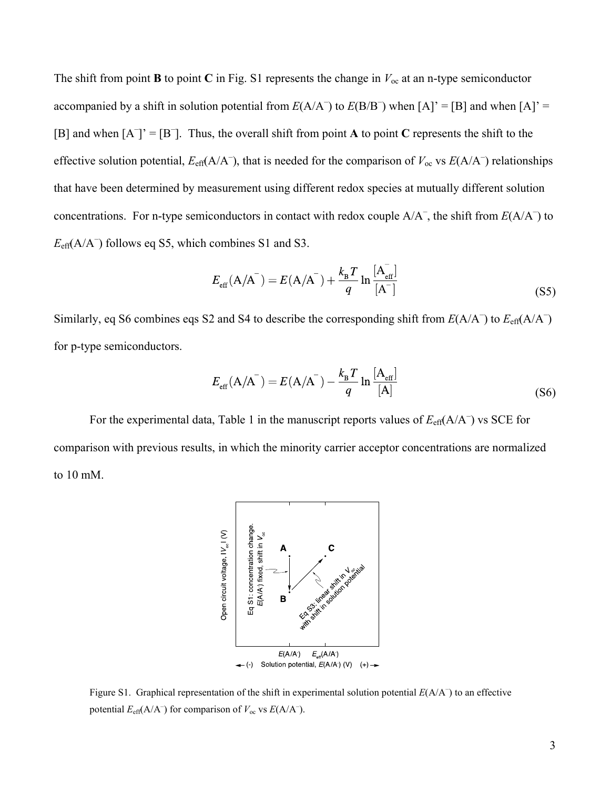The shift from point **B** to point **C** in Fig. S1 represents the change in  $V_{\text{oc}}$  at an n-type semiconductor accompanied by a shift in solution potential from  $E(A/A^-)$  to  $E(B/B^-)$  when  $[A]' = [B]$  and when  $[A]' =$ [B] and when  $[A^-] = [B^-]$ . Thus, the overall shift from point **A** to point **C** represents the shift to the effective solution potential,  $E_{\text{eff}}(A/A^{-})$ , that is needed for the comparison of  $V_{\text{oc}}$  vs  $E(A/A^{-})$  relationships that have been determined by measurement using different redox species at mutually different solution concentrations. For n-type semiconductors in contact with redox couple  $A/A^-$ , the shift from  $E(A/A^-)$  to  $E_{\text{eff}}(A/A^{-})$  follows eq S5, which combines S1 and S3.

$$
E_{\rm eff}(\text{A/A}^{-}) = E(\text{A/A}^{-}) + \frac{k_{\rm B}T}{q} \ln \frac{[\text{A}_{\rm eff}^{-}]}{[\text{A}^{-}]}
$$
(S5)

Similarly, eq S6 combines eqs S2 and S4 to describe the corresponding shift from  $E(A/A^-)$  to  $E_{\text{eff}}(A/A^-)$ for p-type semiconductors.

$$
E_{\rm eff}(\mathbf{A}/\mathbf{A}^{-}) = E(\mathbf{A}/\mathbf{A}^{-}) - \frac{k_{\rm B}T}{q} \ln \frac{[\mathbf{A}_{\rm eff}]}{[\mathbf{A}]}
$$
(S6)

For the experimental data, Table 1 in the manuscript reports values of  $E_{\text{eff}}(A/A^-)$  vs SCE for comparison with previous results, in which the minority carrier acceptor concentrations are normalized to 10 mM.



Figure S1. Graphical representation of the shift in experimental solution potential  $E(A/A^-)$  to an effective potential  $E_{\text{eff}}(A/A^{-})$  for comparison of  $V_{\text{oc}}$  vs  $E(A/A^{-})$ .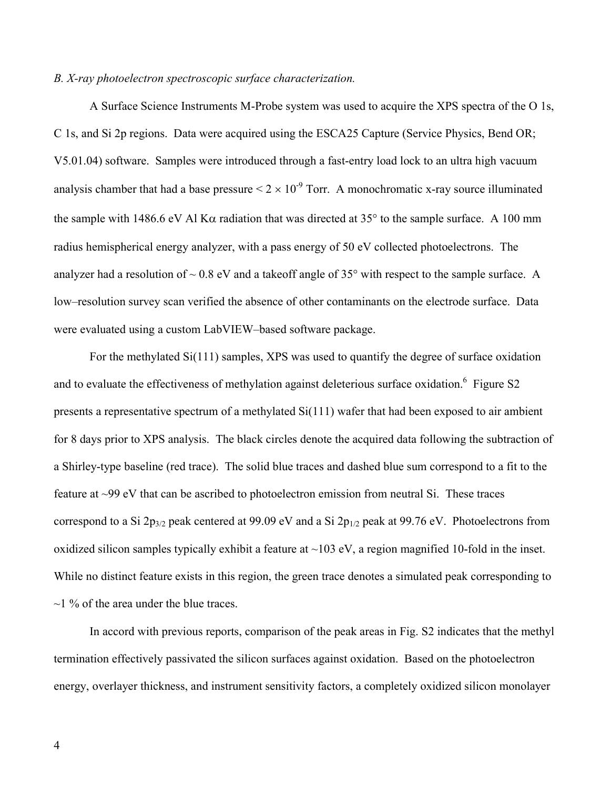## *B. X-ray photoelectron spectroscopic surface characterization.*

A Surface Science Instruments M-Probe system was used to acquire the XPS spectra of the O 1s, C 1s, and Si 2p regions. Data were acquired using the ESCA25 Capture (Service Physics, Bend OR; V5.01.04) software. Samples were introduced through a fast-entry load lock to an ultra high vacuum analysis chamber that had a base pressure  $\leq 2 \times 10^{-9}$  Torr. A monochromatic x-ray source illuminated the sample with 1486.6 eV Al K $\alpha$  radiation that was directed at 35° to the sample surface. A 100 mm radius hemispherical energy analyzer, with a pass energy of 50 eV collected photoelectrons. The analyzer had a resolution of  $\sim 0.8$  eV and a takeoff angle of 35 $\degree$  with respect to the sample surface. A low–resolution survey scan verified the absence of other contaminants on the electrode surface. Data were evaluated using a custom LabVIEW–based software package.

For the methylated Si(111) samples, XPS was used to quantify the degree of surface oxidation and to evaluate the effectiveness of methylation against deleterious surface oxidation.<sup>6</sup> Figure S2 presents a representative spectrum of a methylated Si(111) wafer that had been exposed to air ambient for 8 days prior to XPS analysis. The black circles denote the acquired data following the subtraction of a Shirley-type baseline (red trace). The solid blue traces and dashed blue sum correspond to a fit to the feature at ~99 eV that can be ascribed to photoelectron emission from neutral Si. These traces correspond to a Si  $2p_{3/2}$  peak centered at 99.09 eV and a Si  $2p_{1/2}$  peak at 99.76 eV. Photoelectrons from oxidized silicon samples typically exhibit a feature at  $\sim$ 103 eV, a region magnified 10-fold in the inset. While no distinct feature exists in this region, the green trace denotes a simulated peak corresponding to  $\sim$ 1 % of the area under the blue traces.

In accord with previous reports, comparison of the peak areas in Fig. S2 indicates that the methyl termination effectively passivated the silicon surfaces against oxidation. Based on the photoelectron energy, overlayer thickness, and instrument sensitivity factors, a completely oxidized silicon monolayer